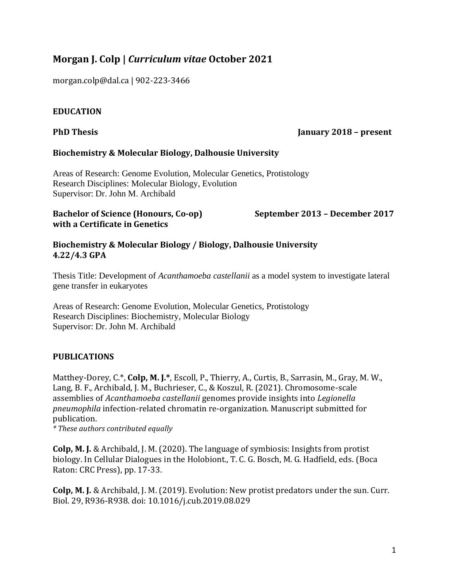# **Morgan J. Colp |** *Curriculum vitae* **October 2021**

morgan.colp@dal.ca | 902-223-3466

## **EDUCATION**

#### **PhD Thesis January 2018 – present**

## **Biochemistry & Molecular Biology, Dalhousie University**

Areas of Research: Genome Evolution, Molecular Genetics, Protistology Research Disciplines: Molecular Biology, Evolution Supervisor: Dr. John M. Archibald

## **Bachelor of Science (Honours, Co-op) September 2013 – December 2017 with a Certificate in Genetics**

### **Biochemistry & Molecular Biology / Biology, Dalhousie University 4.22/4.3 GPA**

Thesis Title: Development of *Acanthamoeba castellanii* as a model system to investigate lateral gene transfer in eukaryotes

Areas of Research: Genome Evolution, Molecular Genetics, Protistology Research Disciplines: Biochemistry, Molecular Biology Supervisor: Dr. John M. Archibald

## **PUBLICATIONS**

Matthey-Dorey, C.\*, **Colp, M. J.\***, Escoll, P., Thierry, A., Curtis, B., Sarrasin, M., Gray, M. W., Lang, B. F., Archibald, J. M., Buchrieser, C., & Koszul, R. (2021). Chromosome-scale assemblies of *Acanthamoeba castellanii* genomes provide insights into *Legionella pneumophila* infection-related chromatin re-organization. Manuscript submitted for publication.

*\* These authors contributed equally*

**Colp, M. J.** & Archibald, J. M. (2020). The language of symbiosis: Insights from protist biology. In Cellular Dialogues in the Holobiont., T. C. G. Bosch, M. G. Hadfield, eds. (Boca Raton: CRC Press), pp. 17-33.

**Colp, M. J.** & Archibald, J. M. (2019). Evolution: New protist predators under the sun. Curr. Biol. 29, R936-R938. doi: 10.1016/j.cub.2019.08.029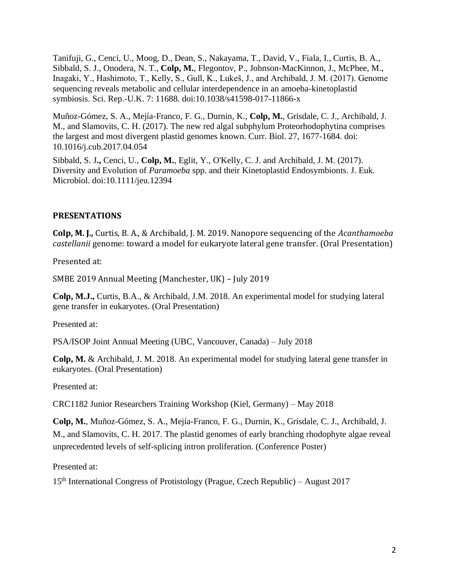Tanifuji, G., Cenci, U., Moog, D., Dean, S., Nakayama, T., David, V., Fiala, I., Curtis, B. A., Sibbald, S. J., Onodera, N. T., **Colp, M.**, Flegontov, P., Johnson-MacKinnon, J., McPhee, M., Inagaki, Y., Hashimoto, T., Kelly, S., Gull, K., Lukeš, J., and Archibald, J. M. (2017). Genome sequencing reveals metabolic and cellular interdependence in an amoeba-kinetoplastid symbiosis. Sci. Rep.-U.K. 7: 11688. doi:10.1038/s41598-017-11866-x

Muñoz-Gómez, S. A., Mejía-Franco, F. G., Durnin, K., **Colp, M.**, Grisdale, C. J., Archibald, J. M., and Slamovits, C. H. (2017). The new red algal subphylum Proteorhodophytina comprises the largest and most divergent plastid genomes known. Curr. Biol. 27, 1677-1684. doi: 10.1016/j.cub.2017.04.054

Sibbald, S. J**.,** Cenci, U., **Colp, M.**, Eglit, Y., O'Kelly, C. J. and Archibald, J. M. (2017). Diversity and Evolution of *Paramoeba* spp. and their Kinetoplastid Endosymbionts. J. Euk. Microbiol. doi:10.1111/jeu.12394

## **PRESENTATIONS**

**Colp, M. J.,** Curtis, B. A., & Archibald, J. M. 2019. Nanopore sequencing of the *Acanthamoeba castellanii* genome: toward a model for eukaryote lateral gene transfer. (Oral Presentation)

Presented at:

SMBE 2019 Annual Meeting (Manchester, UK) – July 2019

**Colp, M.J.,** Curtis, B.A., & Archibald, J.M. 2018. An experimental model for studying lateral gene transfer in eukaryotes. (Oral Presentation)

Presented at:

PSA/ISOP Joint Annual Meeting (UBC, Vancouver, Canada) – July 2018

**Colp, M.** & Archibald, J. M. 2018. An experimental model for studying lateral gene transfer in eukaryotes. (Oral Presentation)

Presented at:

CRC1182 Junior Researchers Training Workshop (Kiel, Germany) – May 2018

**Colp, M.**, Muñoz-Gómez, S. A., Mejía-Franco, F. G., Durnin, K., Grisdale, C. J., Archibald, J. M., and Slamovits, C. H. 2017. The plastid genomes of early branching rhodophyte algae reveal unprecedented levels of self-splicing intron proliferation. (Conference Poster)

Presented at:

 $15<sup>th</sup> International Congress of Protistology (Prague, Czech Republic) – August 2017$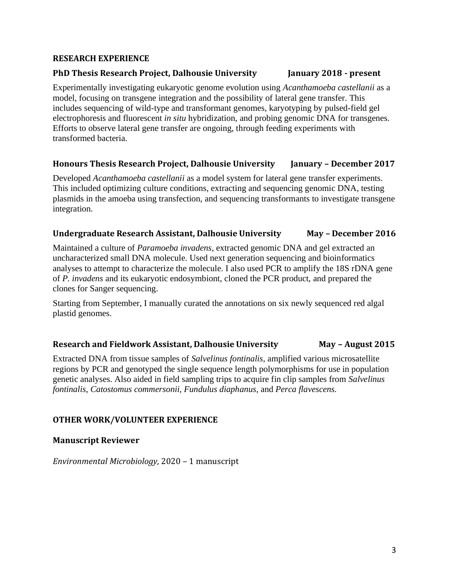#### **RESEARCH EXPERIENCE**

#### **PhD Thesis Research Project, Dalhousie University January 2018 - present**

Experimentally investigating eukaryotic genome evolution using *Acanthamoeba castellanii* as a model, focusing on transgene integration and the possibility of lateral gene transfer. This includes sequencing of wild-type and transformant genomes, karyotyping by pulsed-field gel electrophoresis and fluorescent *in situ* hybridization, and probing genomic DNA for transgenes. Efforts to observe lateral gene transfer are ongoing, through feeding experiments with transformed bacteria.

#### **Honours Thesis Research Project, Dalhousie University January – December 2017**

Developed *Acanthamoeba castellanii* as a model system for lateral gene transfer experiments. This included optimizing culture conditions, extracting and sequencing genomic DNA, testing plasmids in the amoeba using transfection, and sequencing transformants to investigate transgene integration.

### **Undergraduate Research Assistant, Dalhousie University May – December 2016**

Maintained a culture of *Paramoeba invadens*, extracted genomic DNA and gel extracted an uncharacterized small DNA molecule. Used next generation sequencing and bioinformatics analyses to attempt to characterize the molecule. I also used PCR to amplify the 18S rDNA gene of *P. invadens* and its eukaryotic endosymbiont, cloned the PCR product, and prepared the clones for Sanger sequencing.

Starting from September, I manually curated the annotations on six newly sequenced red algal plastid genomes.

#### **Research and Fieldwork Assistant, Dalhousie University May – August 2015**

Extracted DNA from tissue samples of *Salvelinus fontinalis,* amplified various microsatellite regions by PCR and genotyped the single sequence length polymorphisms for use in population genetic analyses. Also aided in field sampling trips to acquire fin clip samples from *Salvelinus fontinalis*, *Catostomus commersonii, Fundulus diaphanus,* and *Perca flavescens.*

#### **OTHER WORK/VOLUNTEER EXPERIENCE**

#### **Manuscript Reviewer**

*Environmental Microbiology*, 2020 – 1 manuscript